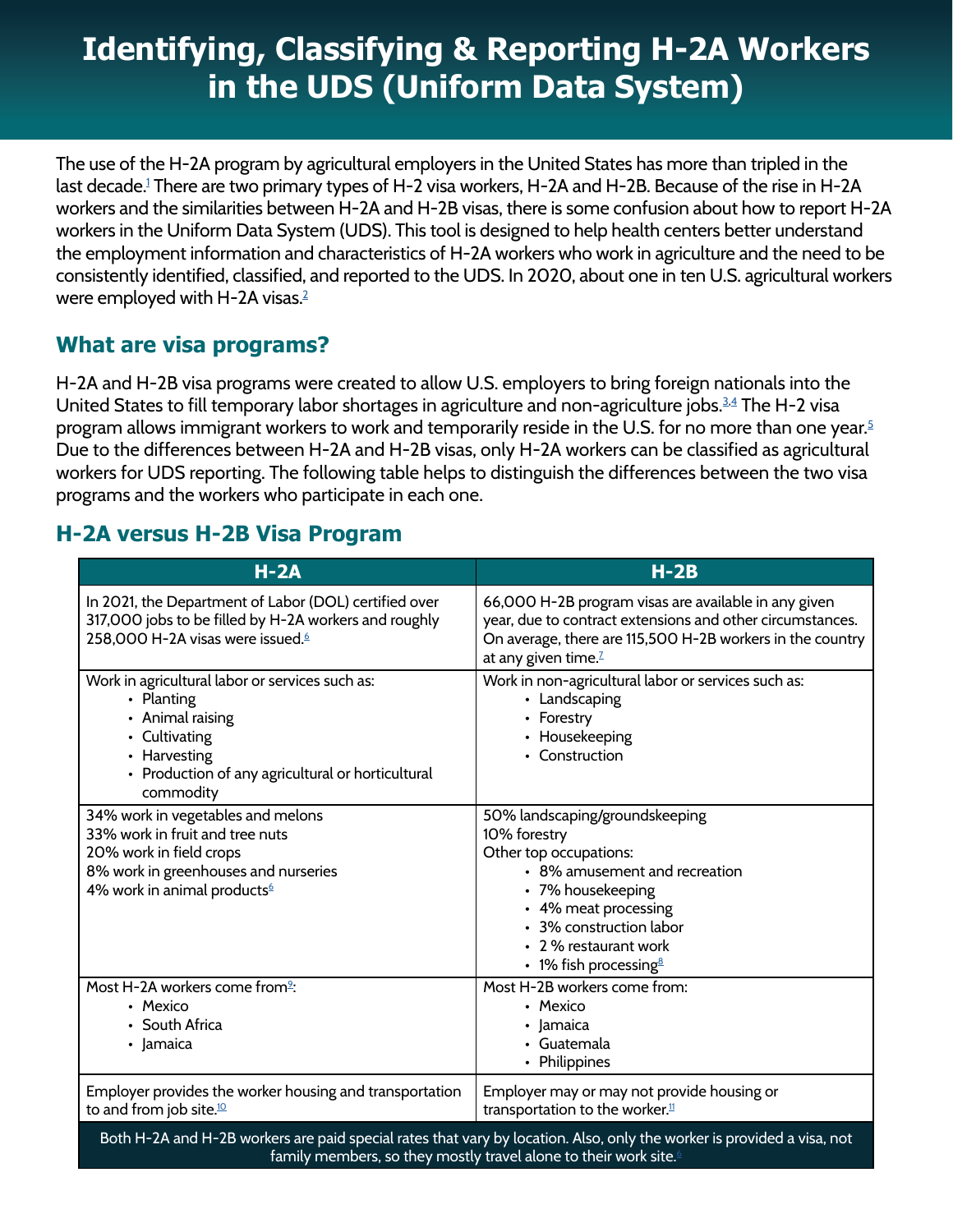# **Identifying, Classifying & Reporting H-2A Workers in the UDS (Uniform Data System)**

The use of the H-2A program by agricultural employers in the United States has more than tripled in the last decade[.1](#page-3-0) There are two primary types of H-2 visa workers, H-2A and H-2B. Because of the rise in H-2A workers and the similarities between H-2A and H-2B visas, there is some confusion about how to report H-2A workers in the Uniform Data System (UDS). This tool is designed to help health centers better understand the employment information and characteristics of H-2A workers who work in agriculture and the need to be consistently identified, classified, and reported to the UDS. In 2020, about one in ten U.S. agricultural workers were employed with H-[2](#page-3-1)A visas.<sup>2</sup>

### **What are visa programs?**

H-2A and H-2B visa programs were created to allow U.S. employers to bring foreign nationals into the United States to fill temporary labor shortages in agriculture and non-agriculture jobs.<sup>3,4</sup> The H-2 visa program allows immigrant workers to work and temporarily reside in the U.S. for no more than one year.<sup>[5](#page-3-4)</sup> Due to the differences between H-2A and H-2B visas, only H-2A workers can be classified as agricultural workers for UDS reporting. The following table helps to distinguish the differences between the two visa programs and the workers who participate in each one.

## **H-2A versus H-2B Visa Program**

| $H - 2A$                                                                                                                                                                                               | $H-2B$                                                                                                                                                                                                                                          |
|--------------------------------------------------------------------------------------------------------------------------------------------------------------------------------------------------------|-------------------------------------------------------------------------------------------------------------------------------------------------------------------------------------------------------------------------------------------------|
| In 2021, the Department of Labor (DOL) certified over<br>317,000 jobs to be filled by H-2A workers and roughly<br>258,000 H-2A visas were issued. <sup>6</sup>                                         | 66,000 H-2B program visas are available in any given<br>year, due to contract extensions and other circumstances.<br>On average, there are 115,500 H-2B workers in the country<br>at any given time. <sup>7</sup>                               |
| Work in agricultural labor or services such as:<br>• Planting<br>• Animal raising<br>• Cultivating<br>• Harvesting<br>• Production of any agricultural or horticultural<br>commodity                   | Work in non-agricultural labor or services such as:<br>• Landscaping<br>• Forestry<br>• Housekeeping<br>• Construction                                                                                                                          |
| 34% work in vegetables and melons<br>33% work in fruit and tree nuts<br>20% work in field crops<br>8% work in greenhouses and nurseries<br>4% work in animal products <sup>6</sup>                     | 50% landscaping/groundskeeping<br>10% forestry<br>Other top occupations:<br>• 8% amusement and recreation<br>• 7% housekeeping<br>• 4% meat processing<br>• 3% construction labor<br>• 2 % restaurant work<br>• 1% fish processing <sup>8</sup> |
| Most H-2A workers come from <sup>2</sup> :<br>• Mexico<br>• South Africa<br>• Jamaica                                                                                                                  | Most H-2B workers come from:<br>• Mexico<br>· Jamaica<br>• Guatemala<br>• Philippines                                                                                                                                                           |
| Employer provides the worker housing and transportation<br>to and from job site. <sup>10</sup>                                                                                                         | Employer may or may not provide housing or<br>transportation to the worker. <sup>11</sup>                                                                                                                                                       |
| Both H-2A and H-2B workers are paid special rates that vary by location. Also, only the worker is provided a visa, not<br>family members, so they mostly travel alone to their work site. <sup>6</sup> |                                                                                                                                                                                                                                                 |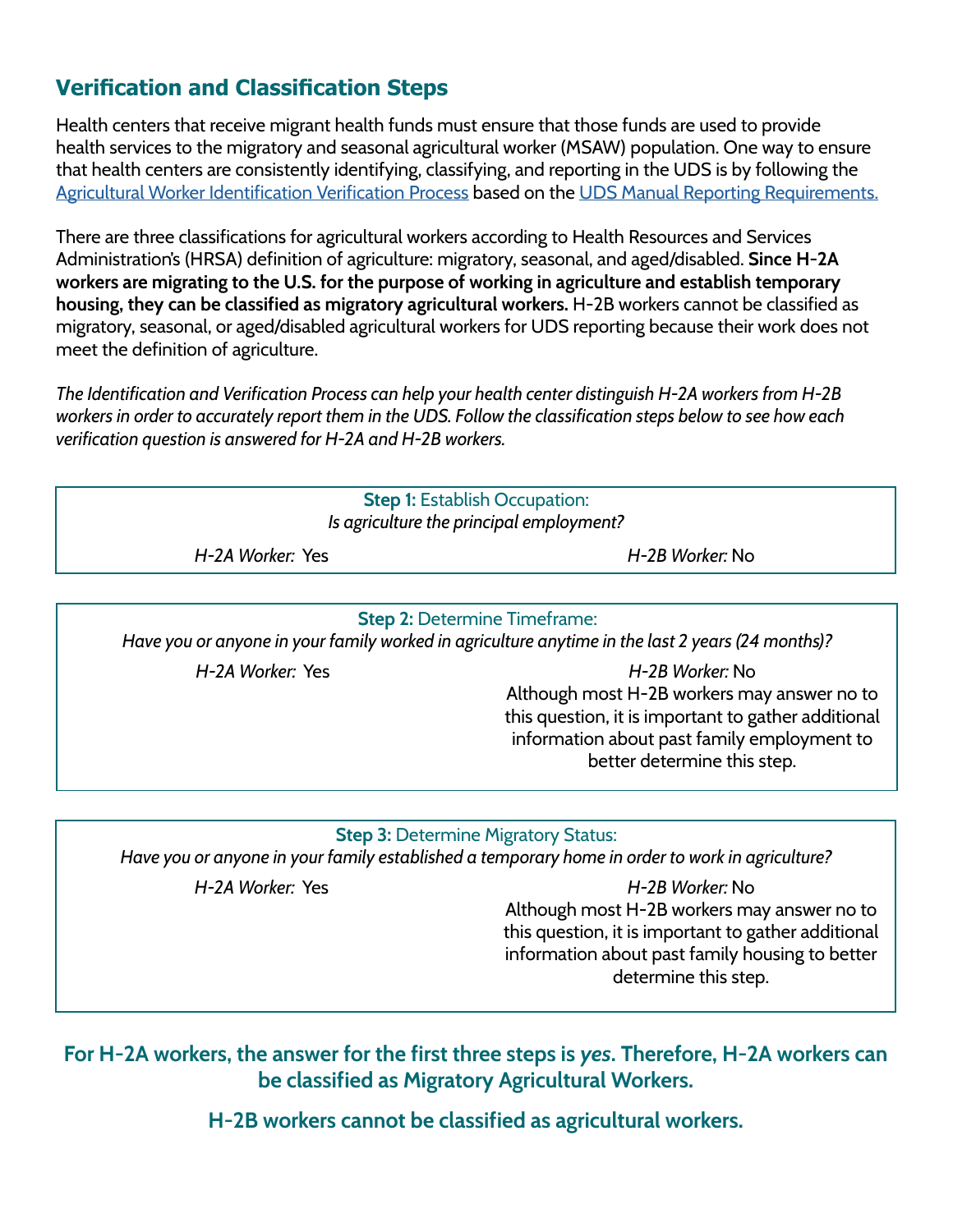# **Verification and Classification Steps**

Health centers that receive migrant health funds must ensure that those funds are used to provide health services to the migratory and seasonal agricultural worker (MSAW) population. One way to ensure that health centers are consistently identifying, classifying, and reporting in the UDS is by following the [Agricultural Worker Identification Verification Process](http://www.ncfh.org/uploads/3/8/6/8/38685499/final_iac-qapacket_6.25.2020.pdf) based on the [UDS Manual Reporting Requirements.](https://bphc.hrsa.gov/sites/default/files/bphc/datareporting/pdf/2022-uds-manual.pdf)

There are three classifications for agricultural workers according to Health Resources and Services Administration's (HRSA) definition of agriculture: migratory, seasonal, and aged/disabled. **Since H-2A workers are migrating to the U.S. for the purpose of working in agriculture and establish temporary housing, they can be classified as migratory agricultural workers.** H-2B workers cannot be classified as migratory, seasonal, or aged/disabled agricultural workers for UDS reporting because their work does not meet the definition of agriculture.

*The Identification and Verification Process can help your health center distinguish H-2A workers from H-2B workers in order to accurately report them in the UDS. Follow the classification steps below to see how each verification question is answered for H-2A and H-2B workers.*



*H-2A Worker:* Yes *H-2B Worker:* No Although most H-2B workers may answer no to this question, it is important to gather additional information about past family employment to better determine this step.

#### **Step 3:** Determine Migratory Status:

*Have you or anyone in your family established a temporary home in order to work in agriculture?*

*H-2A Worker:* Yes *H-2B Worker:* No Although most H-2B workers may answer no to this question, it is important to gather additional information about past family housing to better determine this step.

**For H-2A workers, the answer for the first three steps is** *yes***. Therefore, H-2A workers can be classified as Migratory Agricultural Workers.** 

**H-2B workers cannot be classified as agricultural workers.**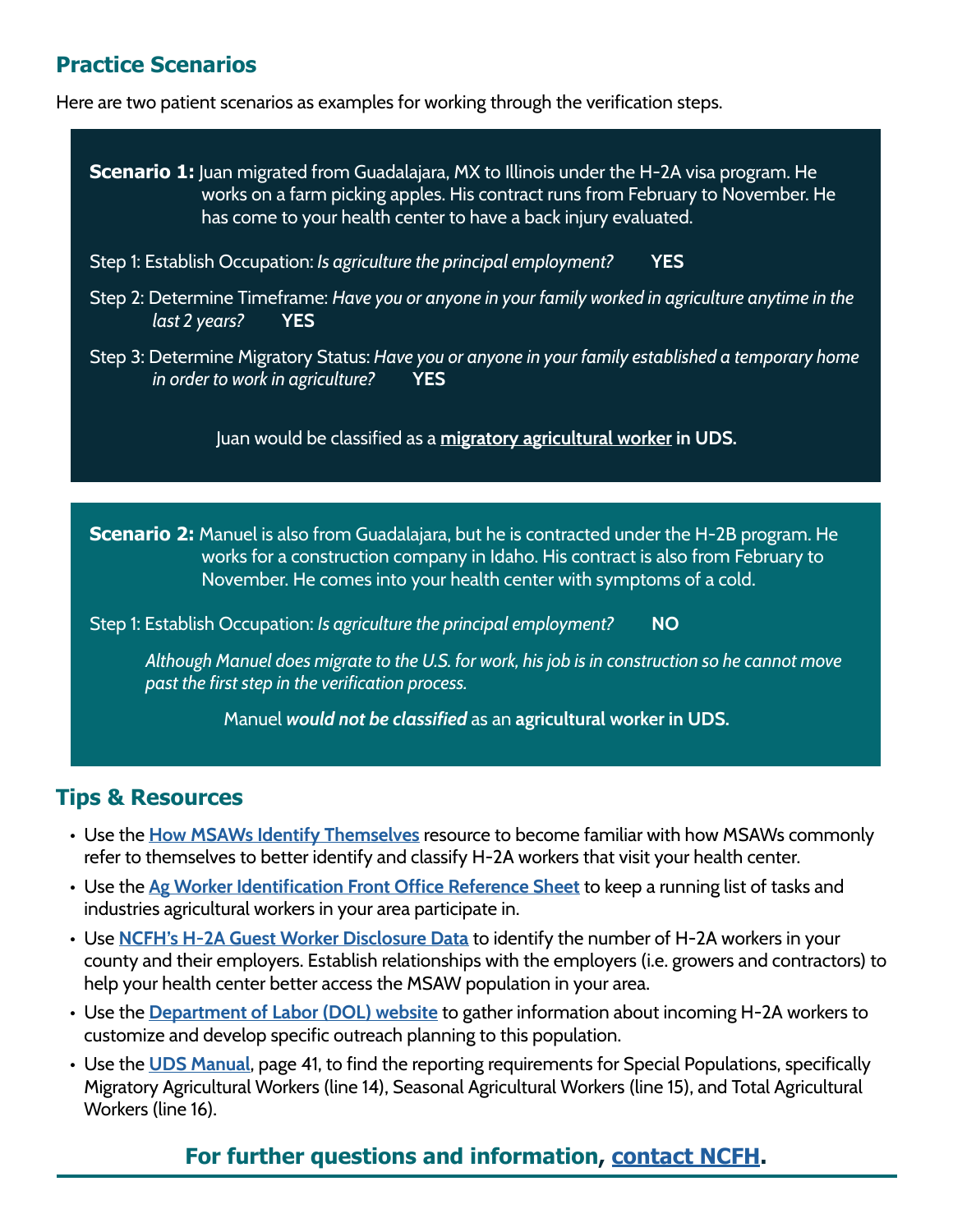# **Practice Scenarios**

Here are two patient scenarios as examples for working through the verification steps.

**Scenario 1:** Juan migrated from Guadalajara, MX to Illinois under the H-2A visa program. He works on a farm picking apples. His contract runs from February to November. He has come to your health center to have a back injury evaluated.

- Step 1: Establish Occupation: *Is agriculture the principal employment?* **YES**
- Step 2: Determine Timeframe: *Have you or anyone in your family worked in agriculture anytime in the last 2 years?* **YES**
- Step 3: Determine Migratory Status: *Have you or anyone in your family established a temporary home in order to work in agriculture?* **YES**

Juan would be classified as a **migratory agricultural worker in UDS.**

**Scenario 2:** Manuel is also from Guadalajara, but he is contracted under the H-2B program. He works for a construction company in Idaho. His contract is also from February to November. He comes into your health center with symptoms of a cold.

Step 1: Establish Occupation: *Is agriculture the principal employment?* **NO**

*Although Manuel does migrate to the U.S. for work, his job is in construction so he cannot move past the first step in the verification process.* 

Manuel *would not be classified* as an **agricultural worker in UDS.**

### **Tips & Resources**

- Use the **[How MSAWs Identify Themselves](http://www.ncfh.org/uploads/3/8/6/8/38685499/how_msaws_id_themselves_2022_update.pdf)** resource to become familiar with how MSAWs commonly refer to themselves to better identify and classify H-2A workers that visit your health center.
- Use the **[Ag Worker Identification Front Office Reference Sheet](http://www.ncfh.org/uploads/3/8/6/8/38685499/iac-ag_worker_id_front_office_reference_sheet__fv__01.2021.pdf)** to keep a running list of tasks and industries agricultural workers in your area participate in.
- Use **[NCFH's H-2A Guest Worker Disclosure Data](http://www.ncfh.org/open-access-data.html)** to identify the number of H-2A workers in your county and their employers. Establish relationships with the employers (i.e. growers and contractors) to help your health center better access the MSAW population in your area.
- Use the **[Department of Labor \(DOL\) website](https://seasonaljobs.dol.gov/jobs?search=&location=&start_date=&job_type=H-2A&sort=relevancy&radius=100&wage=all&facets=)** to gather information about incoming H-2A workers to customize and develop specific outreach planning to this population.
- Use the **[UDS Manual](https://bphc.hrsa.gov/sites/default/files/bphc/datareporting/pdf/2022-uds-manual.pdf)**, page 41, to find the reporting requirements for Special Populations, specifically Migratory Agricultural Workers (line 14), Seasonal Agricultural Workers (line 15), and Total Agricultural Workers (line 16).

# **For further questions and information, [contact NCFH](mailto:info%40ncfh.org?subject=).**